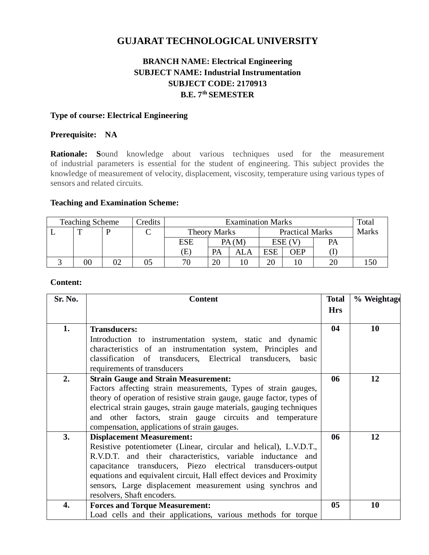# **GUJARAT TECHNOLOGICAL UNIVERSITY**

# **BRANCH NAME: Electrical Engineering SUBJECT NAME: Industrial Instrumentation SUBJECT CODE: 2170913 B.E. 7th SEMESTER**

#### **Type of course: Electrical Engineering**

### **Prerequisite: NA**

**Rationale: S**ound knowledge about various techniques used for the measurement of industrial parameters is essential for the student of engineering. This subject provides the knowledge of measurement of velocity, displacement, viscosity, temperature using various types of sensors and related circuits.

#### **Teaching and Examination Scheme:**

| Credits<br><b>Teaching Scheme</b> |        |  | <b>Examination Marks</b> |     |                     |       |            | Total                  |    |              |
|-----------------------------------|--------|--|--------------------------|-----|---------------------|-------|------------|------------------------|----|--------------|
|                                   |        |  | ⌒                        |     | <b>Theory Marks</b> |       |            | <b>Practical Marks</b> |    | <b>Marks</b> |
|                                   |        |  |                          | ESE |                     | PA(M) | ESE (      |                        | PA |              |
|                                   |        |  |                          | E)  | PA                  | ALA   | <b>ESE</b> | <b>DEP</b>             |    |              |
|                                   | $00\,$ |  |                          | 70  | 20                  |       | 20         |                        |    | .50          |

#### **Content:**

| Sr. No. | <b>Content</b>                                                                                                                                                                                                                                                                                                                                                                                          | <b>Total</b><br><b>Hrs</b> | % Weightage |
|---------|---------------------------------------------------------------------------------------------------------------------------------------------------------------------------------------------------------------------------------------------------------------------------------------------------------------------------------------------------------------------------------------------------------|----------------------------|-------------|
| 1.      | <b>Transducers:</b><br>Introduction to instrumentation system, static and dynamic<br>characteristics of an instrumentation system, Principles and<br>classification of transducers, Electrical transducers, basic<br>requirements of transducers                                                                                                                                                        | 04                         | 10          |
| 2.      | <b>Strain Gauge and Strain Measurement:</b><br>Factors affecting strain measurements, Types of strain gauges,<br>theory of operation of resistive strain gauge, gauge factor, types of<br>electrical strain gauges, strain gauge materials, gauging techniques<br>and other factors, strain gauge circuits and temperature<br>compensation, applications of strain gauges.                              | 06                         | 12          |
| 3.      | <b>Displacement Measurement:</b><br>Resistive potentiometer (Linear, circular and helical), L.V.D.T.,<br>R.V.D.T. and their characteristics, variable inductance and<br>capacitance transducers, Piezo electrical transducers-output<br>equations and equivalent circuit, Hall effect devices and Proximity<br>sensors, Large displacement measurement using synchros and<br>resolvers, Shaft encoders. | 06                         | 12          |
| 4.      | <b>Forces and Torque Measurement:</b><br>Load cells and their applications, various methods for torque                                                                                                                                                                                                                                                                                                  | 0 <sub>5</sub>             | 10          |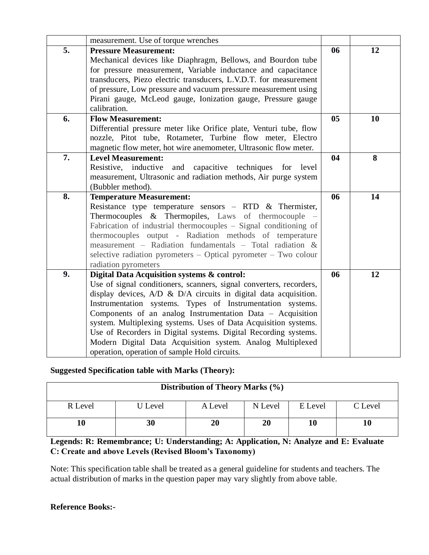|    | measurement. Use of torque wrenches                                                                                                                                                                                                                                                                                                                                                                                                                                                                                                                                     |                |    |
|----|-------------------------------------------------------------------------------------------------------------------------------------------------------------------------------------------------------------------------------------------------------------------------------------------------------------------------------------------------------------------------------------------------------------------------------------------------------------------------------------------------------------------------------------------------------------------------|----------------|----|
| 5. | <b>Pressure Measurement:</b><br>Mechanical devices like Diaphragm, Bellows, and Bourdon tube<br>for pressure measurement, Variable inductance and capacitance<br>transducers, Piezo electric transducers, L.V.D.T. for measurement<br>of pressure, Low pressure and vacuum pressure measurement using<br>Pirani gauge, McLeod gauge, Ionization gauge, Pressure gauge<br>calibration.                                                                                                                                                                                   | 06             | 12 |
| 6. | <b>Flow Measurement:</b><br>Differential pressure meter like Orifice plate, Venturi tube, flow<br>nozzle, Pitot tube, Rotameter, Turbine flow meter, Electro<br>magnetic flow meter, hot wire anemometer, Ultrasonic flow meter.                                                                                                                                                                                                                                                                                                                                        | 0 <sub>5</sub> | 10 |
| 7. | <b>Level Measurement:</b><br>Resistive, inductive<br>and capacitive techniques for level<br>measurement, Ultrasonic and radiation methods, Air purge system<br>(Bubbler method).                                                                                                                                                                                                                                                                                                                                                                                        | 04             | 8  |
| 8. | <b>Temperature Measurement:</b><br>Resistance type temperature sensors – RTD $&$ Thermister,<br>Thermocouples & Thermopiles, Laws of thermocouple<br>Fabrication of industrial thermocouples - Signal conditioning of<br>thermocouples output - Radiation methods of temperature<br>measurement - Radiation fundamentals - Total radiation &<br>selective radiation pyrometers – Optical pyrometer – Two colour<br>radiation pyrometers                                                                                                                                 | 06             | 14 |
| 9. | Digital Data Acquisition systems & control:<br>Use of signal conditioners, scanners, signal converters, recorders,<br>display devices, A/D & D/A circuits in digital data acquisition.<br>Instrumentation systems. Types of Instrumentation systems.<br>Components of an analog Instrumentation Data - Acquisition<br>system. Multiplexing systems. Uses of Data Acquisition systems.<br>Use of Recorders in Digital systems. Digital Recording systems.<br>Modern Digital Data Acquisition system. Analog Multiplexed<br>operation, operation of sample Hold circuits. | 06             | 12 |

# **Suggested Specification table with Marks (Theory):**

| Distribution of Theory Marks (%) |                |         |         |         |         |  |  |
|----------------------------------|----------------|---------|---------|---------|---------|--|--|
| R Level                          | <b>U</b> Level | A Level | N Level | E Level | C Level |  |  |
|                                  | 30             | 20      | 20      | 10      | 10      |  |  |

**Legends: R: Remembrance; U: Understanding; A: Application, N: Analyze and E: Evaluate C: Create and above Levels (Revised Bloom's Taxonomy)**

Note: This specification table shall be treated as a general guideline for students and teachers. The actual distribution of marks in the question paper may vary slightly from above table.

# **Reference Books:-**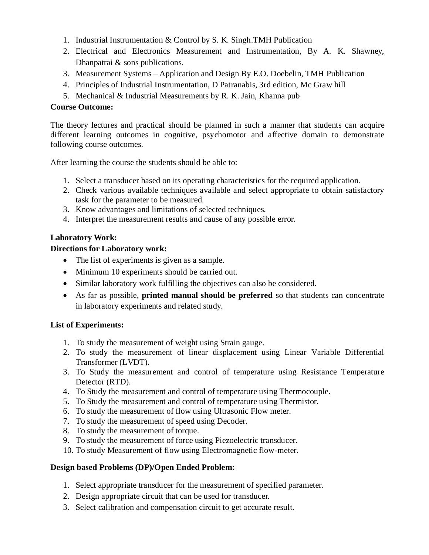- 1. Industrial Instrumentation & Control by S. K. Singh.TMH Publication
- 2. Electrical and Electronics Measurement and Instrumentation, By A. K. Shawney, Dhanpatrai & sons publications.
- 3. Measurement Systems Application and Design By E.O. Doebelin, TMH Publication
- 4. Principles of Industrial Instrumentation, D Patranabis, 3rd edition, Mc Graw hill
- 5. Mechanical & Industrial Measurements by R. K. Jain, Khanna pub

### **Course Outcome:**

The theory lectures and practical should be planned in such a manner that students can acquire different learning outcomes in cognitive, psychomotor and affective domain to demonstrate following course outcomes.

After learning the course the students should be able to:

- 1. Select a transducer based on its operating characteristics for the required application.
- 2. Check various available techniques available and select appropriate to obtain satisfactory task for the parameter to be measured.
- 3. Know advantages and limitations of selected techniques.
- 4. Interpret the measurement results and cause of any possible error.

# **Laboratory Work:**

#### **Directions for Laboratory work:**

- The list of experiments is given as a sample.
- Minimum 10 experiments should be carried out.
- Similar laboratory work fulfilling the objectives can also be considered.
- As far as possible, **printed manual should be preferred** so that students can concentrate in laboratory experiments and related study.

#### **List of Experiments:**

- 1. To study the measurement of weight using Strain gauge.
- 2. To study the measurement of linear displacement using Linear Variable Differential Transformer (LVDT).
- 3. To Study the measurement and control of temperature using Resistance Temperature Detector (RTD).
- 4. To Study the measurement and control of temperature using Thermocouple.
- 5. To Study the measurement and control of temperature using Thermistor.
- 6. To study the measurement of flow using Ultrasonic Flow meter.
- 7. To study the measurement of speed using Decoder.
- 8. To study the measurement of torque.
- 9. To study the measurement of force using Piezoelectric transducer.
- 10. To study Measurement of flow using Electromagnetic flow-meter.

#### **Design based Problems (DP)/Open Ended Problem:**

- 1. Select appropriate transducer for the measurement of specified parameter.
- 2. Design appropriate circuit that can be used for transducer.
- 3. Select calibration and compensation circuit to get accurate result.